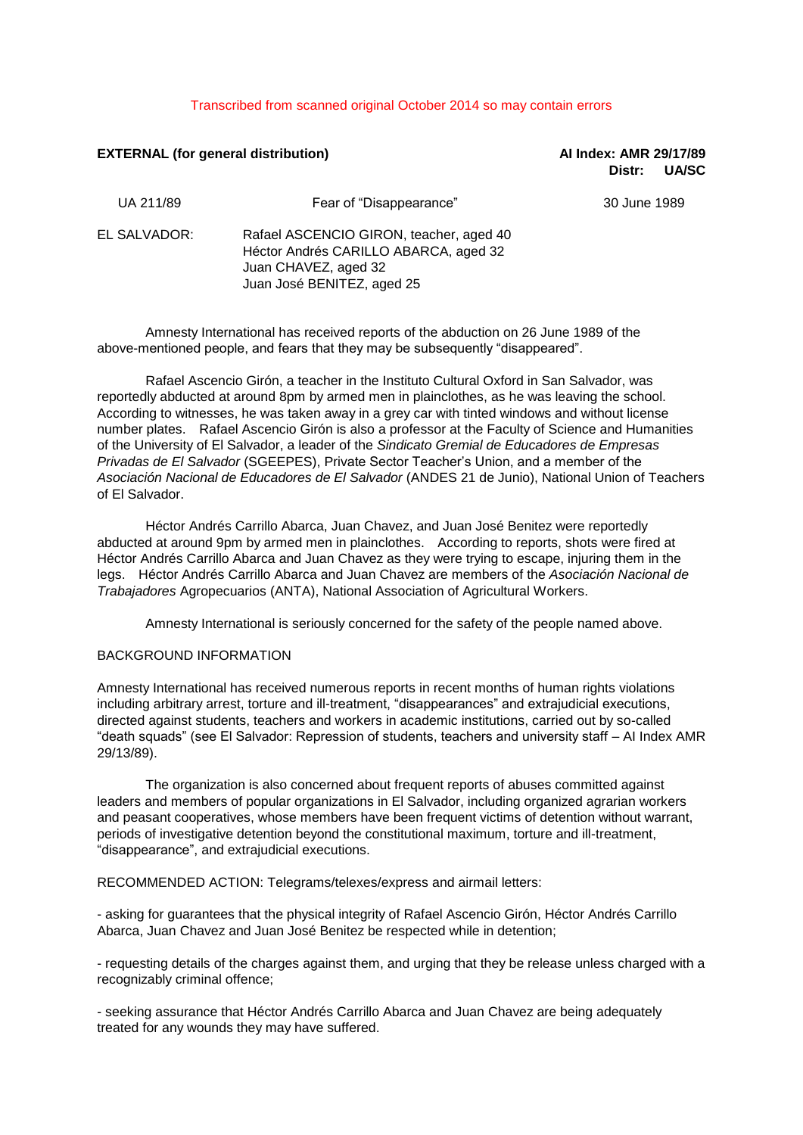## Transcribed from scanned original October 2014 so may contain errors

# **EXTERNAL (for general distribution) AI Index: AMR 29/17/89**

**Distr: UA/SC**

| UA 211/89    | Fear of "Disappearance"                                                                                                                | 30 June 1989 |
|--------------|----------------------------------------------------------------------------------------------------------------------------------------|--------------|
| EL SALVADOR: | Rafael ASCENCIO GIRON, teacher, aged 40<br>Héctor Andrés CARILLO ABARCA, aged 32<br>Juan CHAVEZ, aged 32<br>Juan José BENITEZ, aged 25 |              |

Amnesty International has received reports of the abduction on 26 June 1989 of the above-mentioned people, and fears that they may be subsequently "disappeared".

Rafael Ascencio Girón, a teacher in the Instituto Cultural Oxford in San Salvador, was reportedly abducted at around 8pm by armed men in plainclothes, as he was leaving the school. According to witnesses, he was taken away in a grey car with tinted windows and without license number plates. Rafael Ascencio Girón is also a professor at the Faculty of Science and Humanities of the University of El Salvador, a leader of the *Sindicato Gremial de Educadores de Empresas Privadas de El Salvador* (SGEEPES), Private Sector Teacher's Union, and a member of the *Asociación Nacional de Educadores de El Salvador* (ANDES 21 de Junio), National Union of Teachers of El Salvador.

Héctor Andrés Carrillo Abarca, Juan Chavez, and Juan José Benitez were reportedly abducted at around 9pm by armed men in plainclothes. According to reports, shots were fired at Héctor Andrés Carrillo Abarca and Juan Chavez as they were trying to escape, injuring them in the legs. Héctor Andrés Carrillo Abarca and Juan Chavez are members of the *Asociación Nacional de Trabajadores* Agropecuarios (ANTA), National Association of Agricultural Workers.

Amnesty International is seriously concerned for the safety of the people named above.

# BACKGROUND INFORMATION

Amnesty International has received numerous reports in recent months of human rights violations including arbitrary arrest, torture and ill-treatment, "disappearances" and extrajudicial executions, directed against students, teachers and workers in academic institutions, carried out by so-called "death squads" (see El Salvador: Repression of students, teachers and university staff – AI Index AMR 29/13/89).

The organization is also concerned about frequent reports of abuses committed against leaders and members of popular organizations in El Salvador, including organized agrarian workers and peasant cooperatives, whose members have been frequent victims of detention without warrant, periods of investigative detention beyond the constitutional maximum, torture and ill-treatment, "disappearance", and extrajudicial executions.

RECOMMENDED ACTION: Telegrams/telexes/express and airmail letters:

- asking for guarantees that the physical integrity of Rafael Ascencio Girón, Héctor Andrés Carrillo Abarca, Juan Chavez and Juan José Benitez be respected while in detention;

- requesting details of the charges against them, and urging that they be release unless charged with a recognizably criminal offence;

- seeking assurance that Héctor Andrés Carrillo Abarca and Juan Chavez are being adequately treated for any wounds they may have suffered.